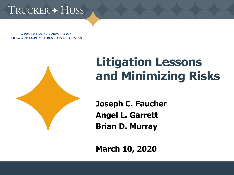# TRUCKER + HUSS

A PROFESSIONAL CORPORATION **ERISA AND EMPLOYEE BENEFITS ATTORNEYS** 



# **Litigation Lessons and Minimizing Risks**

**Joseph C. Faucher Angel L. Garrett Brian D. Murray**

**March 10, 2020**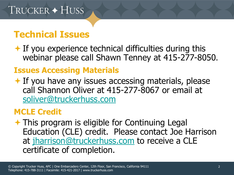### **Technical Issues**

 $\bigstar$  If you experience technical difficulties during this webinar please call Shawn Tenney at 415-277-8050.

#### **Issues Accessing Materials**

 $\overline{\phantom{a}}$  If you have any issues accessing materials, please call Shannon Oliver at 415-277-8067 or email at [soliver@truckerhuss.com](mailto:Shannon%20Oliver%20%3cSOliver@truckerhuss.com%3e)

#### **MCLE Credit**

**★ This program is eligible for Continuing Legal** Education (CLE) credit. Please contact Joe Harrison at [jharrison@truckerhuss.com](mailto:Joe%20Harrison%20%3cjharrison@truckerhuss.com%3e) to receive a CLE certificate of completion.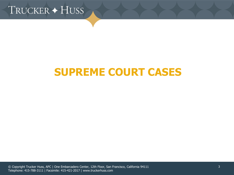

### **SUPREME COURT CASES**

© Copyright Trucker Huss, APC | One Embarcadero Center, 12th Floor, San Francisco, California 94111 Telephone: 415-788-3111 | Facsimile: 415-421-2017 | www.truckerhuss.com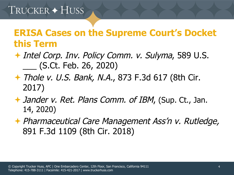#### **ERISA Cases on the Supreme Court's Docket this Term**

- ◆ Intel Corp. Inv. Policy Comm. v. Sulyma, 589 U.S. \_\_\_ (S.Ct. Feb. 26, 2020)
- **← Thole v. U.S. Bank, N.A., 873 F.3d 617 (8th Cir.** 2017)
- ◆ Jander v. Ret. Plans Comm. of IBM, (Sup. Ct., Jan. 14, 2020)
- Pharmaceutical Care Management Ass'n v. Rutledge, 891 F.3d 1109 (8th Cir. 2018)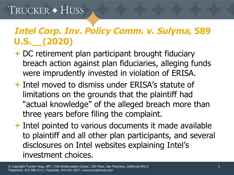# TRUCKER + HUSS

### **Intel Corp. Inv. Policy Comm. v. Sulyma, 589 U.S.\_\_(2020)**

- **← DC retirement plan participant brought fiduciary** breach action against plan fiduciaries, alleging funds were imprudently invested in violation of ERISA.
- Intel moved to dismiss under ERISA's statute of limitations on the grounds that the plaintiff had "actual knowledge" of the alleged breach more than three years before filing the complaint.
- **← Intel pointed to various documents it made available** to plaintiff and all other plan participants, and several disclosures on Intel websites explaining Intel's investment choices.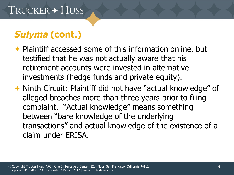### **Sulyma (cont.)**

- ← Plaintiff accessed some of this information online, but testified that he was not actually aware that his retirement accounts were invested in alternative investments (hedge funds and private equity).
- **★ Ninth Circuit: Plaintiff did not have "actual knowledge" of** alleged breaches more than three years prior to filing complaint. "Actual knowledge" means something between "bare knowledge of the underlying transactions" and actual knowledge of the existence of a claim under ERISA.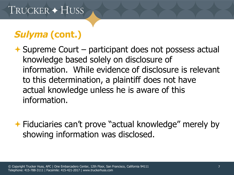### **Sulyma (cont.)**

- $\rightarrow$  Supreme Court participant does not possess actual knowledge based solely on disclosure of information. While evidence of disclosure is relevant to this determination, a plaintiff does not have actual knowledge unless he is aware of this information.
- **← Fiduciaries can't prove "actual knowledge" merely by** showing information was disclosed.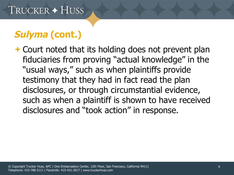### **Sulyma (cont.)**

**← Court noted that its holding does not prevent plan** fiduciaries from proving "actual knowledge" in the "usual ways," such as when plaintiffs provide testimony that they had in fact read the plan disclosures, or through circumstantial evidence, such as when a plaintiff is shown to have received disclosures and "took action" in response.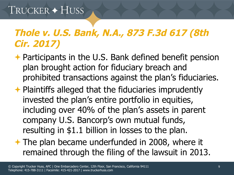### **Thole v. U.S. Bank, N.A., 873 F.3d 617 (8th Cir. 2017)**

- **← Participants in the U.S. Bank defined benefit pension** plan brought action for fiduciary breach and prohibited transactions against the plan's fiduciaries.
- $\rightarrow$  Plaintiffs alleged that the fiduciaries imprudently invested the plan's entire portfolio in equities, including over 40% of the plan's assets in parent company U.S. Bancorp's own mutual funds, resulting in \$1.1 billion in losses to the plan.
- $\rightarrow$  The plan became underfunded in 2008, where it remained through the filing of the lawsuit in 2013.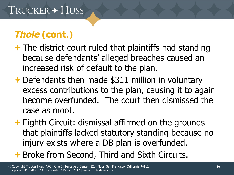# **Thole (cont.)**

- $\rightarrow$  The district court ruled that plaintiffs had standing because defendants' alleged breaches caused an increased risk of default to the plan.
- **← Defendants then made \$311 million in voluntary** excess contributions to the plan, causing it to again become overfunded. The court then dismissed the case as moot.
- **Eighth Circuit: dismissal affirmed on the grounds** that plaintiffs lacked statutory standing because no injury exists where a DB plan is overfunded.
- **← Broke from Second, Third and Sixth Circuits.**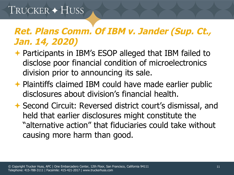### TRUCKER + HUSS

#### **Ret. Plans Comm. Of IBM v. Jander (Sup. Ct., Jan. 14, 2020)**

- **← Participants in IBM's ESOP alleged that IBM failed to** disclose poor financial condition of microelectronics division prior to announcing its sale.
- ← Plaintiffs claimed IBM could have made earlier public disclosures about division's financial health.
- **↑ Second Circuit: Reversed district court's dismissal, and** held that earlier disclosures might constitute the "alternative action" that fiduciaries could take without causing more harm than good.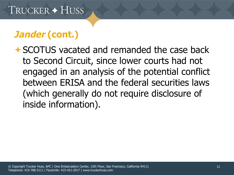### **Jander (cont.)**

SCOTUS vacated and remanded the case back to Second Circuit, since lower courts had not engaged in an analysis of the potential conflict between ERISA and the federal securities laws (which generally do not require disclosure of inside information).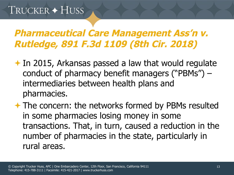#### **Pharmaceutical Care Management Ass'n v. Rutledge, 891 F.3d 1109 (8th Cir. 2018)**

In 2015, Arkansas passed a law that would regulate conduct of pharmacy benefit managers ("PBMs") – intermediaries between health plans and pharmacies.

**★ The concern: the networks formed by PBMs resulted** in some pharmacies losing money in some transactions. That, in turn, caused a reduction in the number of pharmacies in the state, particularly in rural areas.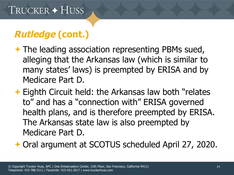### **Rutledge (cont.)**

- **★ The leading association representing PBMs sued,** alleging that the Arkansas law (which is similar to many states' laws) is preempted by ERISA and by Medicare Part D.
- **Eighth Circuit held: the Arkansas law both "relates** to" and has a "connection with" ERISA governed health plans, and is therefore preempted by ERISA. The Arkansas state law is also preempted by Medicare Part D.

Oral argument at SCOTUS scheduled April 27, 2020.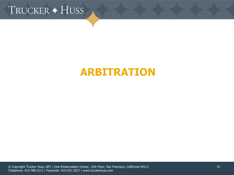TRUCKER + HUSS

### **ARBITRATION**

© Copyright Trucker Huss, APC | One Embarcadero Center, 12th Floor, San Francisco, California 94111 Telephone: 415-788-3111 | Facsimile: 415-421-2017 | www.truckerhuss.com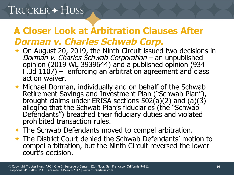## TRUCKER + HUSS

### **A Closer Look at Arbitration Clauses After Dorman v. Charles Schwab Corp.**

- ◆ On August 20, 2019, the Ninth Circuit issued two decisions in Dorman v. Charles Schwab Corporation – an unpublished opinion (2019 WL 3939644) and a published opinion (934  $F.3d$  1107) – enforcing an arbitration agreement and class action waiver.
- $\rightarrow$  Michael Dorman, individually and on behalf of the Schwab Retirement Savings and Investment Plan ("Schwab Plan"), brought claims under ERISA sections 502(a)(2) and (a)(3) alleging that the Schwab Plan's fiduciaries (the "Schwab Defendants") breached their fiduciary duties and violated prohibited transaction rules.
- **← The Schwab Defendants moved to compel arbitration.**
- The District Court denied the Schwab Defendants' motion to compel arbitration, but the Ninth Circuit reversed the lower court's decision.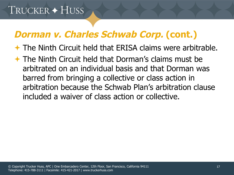### **Dorman v. Charles Schwab Corp. (cont.)**

The Ninth Circuit held that ERISA claims were arbitrable.

 The Ninth Circuit held that Dorman's claims must be arbitrated on an individual basis and that Dorman was barred from bringing a collective or class action in arbitration because the Schwab Plan's arbitration clause included a waiver of class action or collective.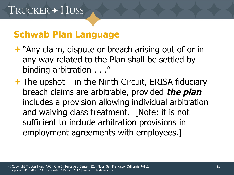#### **Schwab Plan Language**

- "Any claim, dispute or breach arising out of or in any way related to the Plan shall be settled by binding arbitration . . ."
- $\rightarrow$  The upshot in the Ninth Circuit, ERISA fiduciary breach claims are arbitrable, provided **the plan** includes a provision allowing individual arbitration and waiving class treatment. [Note: it is not sufficient to include arbitration provisions in employment agreements with employees.]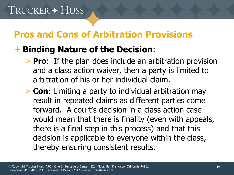#### **Pros and Cons of Arbitration Provisions**

#### **Binding Nature of the Decision**:

- > **Pro**: If the plan does include an arbitration provision and a class action waiver, then a party is limited to arbitration of his or her individual claim.
- > **Con**: Limiting a party to individual arbitration may result in repeated claims as different parties come forward. A court's decision in a class action case would mean that there is finality (even with appeals, there is a final step in this process) and that this decision is applicable to everyone within the class, thereby ensuring consistent results.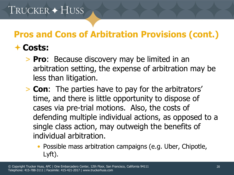# **Pros and Cons of Arbitration Provisions (cont.)**

#### **Costs:**

- > **Pro**: Because discovery may be limited in an arbitration setting, the expense of arbitration may be less than litigation.
- > **Con**: The parties have to pay for the arbitrators' time, and there is little opportunity to dispose of cases via pre-trial motions. Also, the costs of defending multiple individual actions, as opposed to a single class action, may outweigh the benefits of individual arbitration.
	- Possible mass arbitration campaigns (e.g. Uber, Chipotle, Lyft).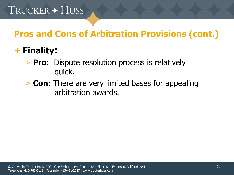#### **Pros and Cons of Arbitration Provisions (cont.)**

#### **Finality:**

- > **Pro**: Dispute resolution process is relatively quick.
- > **Con**: There are very limited bases for appealing arbitration awards.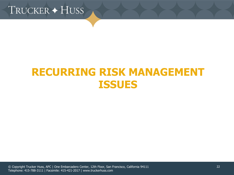TRUCKER + HUSS

### **RECURRING RISK MANAGEMENT ISSUES**

© Copyright Trucker Huss, APC | One Embarcadero Center, 12th Floor, San Francisco, California 94111 Telephone: 415-788-3111 | Facsimile: 415-421-2017 | www.truckerhuss.com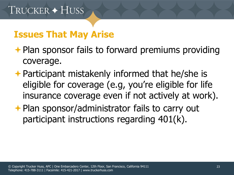#### **Issues That May Arise**

- $\rightarrow$  Plan sponsor fails to forward premiums providing coverage.
- **← Participant mistakenly informed that he/she is** eligible for coverage (e.g, you're eligible for life insurance coverage even if not actively at work).
- **← Plan sponsor/administrator fails to carry out** participant instructions regarding 401(k).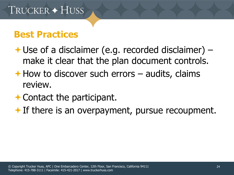#### **Best Practices**

- $\rightarrow$  Use of a disclaimer (e.g. recorded disclaimer) make it clear that the plan document controls.
- $\rightarrow$  How to discover such errors audits, claims review.
- $\rightarrow$  Contact the participant.
- $\bigstar$  If there is an overpayment, pursue recoupment.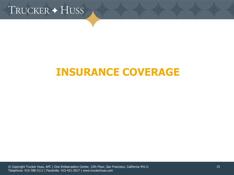

### **INSURANCE COVERAGE**

© Copyright Trucker Huss, APC | One Embarcadero Center, 12th Floor, San Francisco, California 94111 Telephone: 415-788-3111 | Facsimile: 415-421-2017 | www.truckerhuss.com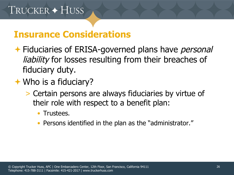#### **Insurance Considerations**

- **← Fiduciaries of ERISA-governed plans have personal** liability for losses resulting from their breaches of fiduciary duty.
- **★ Who is a fiduciary?** 
	- > Certain persons are always fiduciaries by virtue of their role with respect to a benefit plan:
		- Trustees.
		- Persons identified in the plan as the "administrator."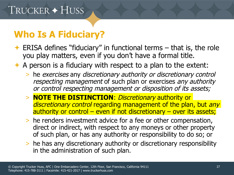### **Who Is A Fiduciary?**

- $\triangleleft$  ERISA defines "fiduciary" in functional terms that is, the role you play matters, even if you don't have a formal title.
- $\rightarrow$  A person is a fiduciary with respect to a plan to the extent:
	- > he exercises any discretionary authority or discretionary control respecting management of such plan or exercises any authority or control respecting management or disposition of its assets;
	- > **NOTE THE DISTINCTION**: Discretionary authority or discretionary control regarding management of the plan, but any authority or control – even if not discretionary – over its assets;
	- > he renders investment advice for a fee or other compensation, direct or indirect, with respect to any moneys or other property of such plan, or has any authority or responsibility to do so; or
	- > he has any discretionary authority or discretionary responsibility in the administration of such plan.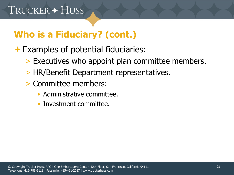### **Who is a Fiduciary? (cont.)**

#### Examples of potential fiduciaries:

- > Executives who appoint plan committee members.
- > HR/Benefit Department representatives.
- > Committee members:
	- Administrative committee.
	- Investment committee.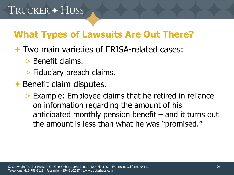### **What Types of Lawsuits Are Out There?**

- Two main varieties of ERISA-related cases:
	- > Benefit claims.
	- > Fiduciary breach claims.
- $\rightarrow$  Benefit claim disputes.
	- > Example: Employee claims that he retired in reliance on information regarding the amount of his anticipated monthly pension benefit  $-$  and it turns out the amount is less than what he was "promised."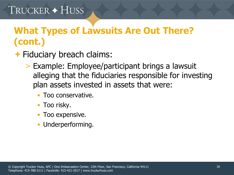# **What Types of Lawsuits Are Out There? (cont.)**

- **← Fiduciary breach claims:** 
	- > Example: Employee/participant brings a lawsuit alleging that the fiduciaries responsible for investing plan assets invested in assets that were:
		- Too conservative.
		- Too risky.
		- Too expensive.
		- Underperforming.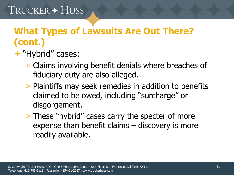### **What Types of Lawsuits Are Out There? (cont.)**

- "Hybrid" cases:
	- > Claims involving benefit denials where breaches of fiduciary duty are also alleged.
	- > Plaintiffs may seek remedies in addition to benefits claimed to be owed, including "surcharge" or disgorgement.
	- > These "hybrid" cases carry the specter of more expense than benefit claims – discovery is more readily available.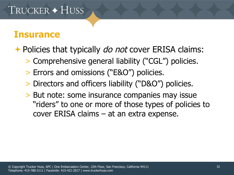# TRUCKER + HUSS

#### **Insurance**

**← Policies that typically** *do not* **cover ERISA claims:** 

- > Comprehensive general liability ("CGL") policies.
- > Errors and omissions ("E&O") policies.
- > Directors and officers liability ("D&O") policies.
- > But note: some insurance companies may issue "riders" to one or more of those types of policies to cover ERISA claims – at an extra expense.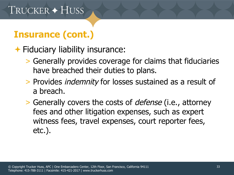#### Fiduciary liability insurance:

- > Generally provides coverage for claims that fiduciaries have breached their duties to plans.
- > Provides indemnity for losses sustained as a result of a breach.
- > Generally covers the costs of defense (i.e., attorney fees and other litigation expenses, such as expert witness fees, travel expenses, court reporter fees, etc.).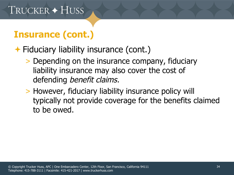### **← Fiduciary liability insurance (cont.)**

- > Depending on the insurance company, fiduciary liability insurance may also cover the cost of defending *benefit claims*.
- > However, fiduciary liability insurance policy will typically not provide coverage for the benefits claimed to be owed.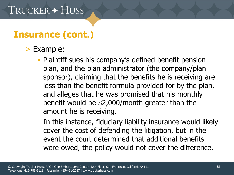- > Example:
	- Plaintiff sues his company's defined benefit pension plan, and the plan administrator (the company/plan sponsor), claiming that the benefits he is receiving are less than the benefit formula provided for by the plan, and alleges that he was promised that his monthly benefit would be \$2,000/month greater than the amount he is receiving.

In this instance, fiduciary liability insurance would likely cover the cost of defending the litigation, but in the event the court determined that additional benefits were owed, the policy would not cover the difference.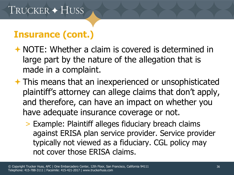- NOTE: Whether a claim is covered is determined in large part by the nature of the allegation that is made in a complaint.
- **★ This means that an inexperienced or unsophisticated** plaintiff's attorney can allege claims that don't apply, and therefore, can have an impact on whether you have adequate insurance coverage or not.
	- > Example: Plaintiff alleges fiduciary breach claims against ERISA plan service provider. Service provider typically not viewed as a fiduciary. CGL policy may not cover those ERISA claims.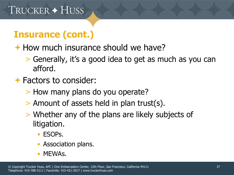#### $\rightarrow$  How much insurance should we have?

- > Generally, it's a good idea to get as much as you can afford.
- **★ Factors to consider:** 
	- > How many plans do you operate?
	- > Amount of assets held in plan trust(s).
	- > Whether any of the plans are likely subjects of litigation.
		- ESOPs.
		- Association plans.
		- MEWAs.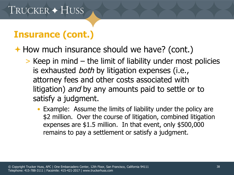**← How much insurance should we have? (cont.)** 

- > Keep in mind the limit of liability under most policies is exhausted *both* by litigation expenses (i.e., attorney fees and other costs associated with litigation) and by any amounts paid to settle or to satisfy a judgment.
	- Example: Assume the limits of liability under the policy are \$2 million. Over the course of litigation, combined litigation expenses are \$1.5 million. In that event, only \$500,000 remains to pay a settlement or satisfy a judgment.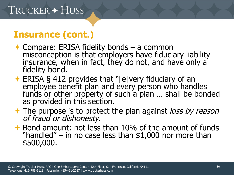- **← Compare: ERISA fidelity bonds a common** misconception is that employers have fiduciary liability insurance, when in fact, they do not, and have only a fidelity bond.
- **ERISA § 412 provides that "[e]very fiduciary of an** employee benefit plan and every person who handles funds or other property of such a plan ... shall be bonded as provided in this section.
- $\rightarrow$  The purpose is to protect the plan against loss by reason of fraud or dishonesty.
- $\rightarrow$  Bond amount: not less than 10% of the amount of funds "handled" – in no case less than  $$1,000$  nor more than \$500,000.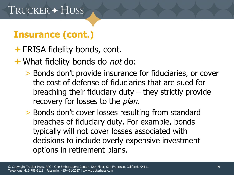- **← ERISA fidelity bonds, cont.**
- **★ What fidelity bonds do not do:** 
	- > Bonds don't provide insurance for fiduciaries, or cover the cost of defense of fiduciaries that are sued for breaching their fiduciary duty – they strictly provide recovery for losses to the *plan*.
	- > Bonds don't cover losses resulting from standard breaches of fiduciary duty. For example, bonds typically will not cover losses associated with decisions to include overly expensive investment options in retirement plans.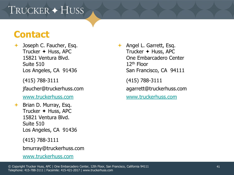# TRUCKER + HUSS

#### **Contact**

- **→ Joseph C. Faucher, Esq.** Trucker  $\leftrightarrow$  Huss, APC 15821 Ventura Blvd. Suite 510 Los Angeles, CA 91436
	- (415) 788-3111

jfaucher@truckerhuss.com

[www.truckerhuss.com](http://www.truckerhuss.com/)

- $\rightarrow$  Brian D. Murray, Esq. Trucker  $\triangle$  Huss, APC 15821 Ventura Blvd. Suite 510 Los Angeles, CA 91436
	- (415) 788-3111
	- bmurray@truckerhuss.com

```
www.truckerhuss.com
```
 Angel L. Garrett, Esq. Trucker  $\leftrightarrow$  Huss, APC One Embarcadero Center 12th Floor San Francisco, CA 94111 (415) 788-3111

agarrett@truckerhuss.com

[www.truckerhuss.com](http://www.truckerhuss.com/)